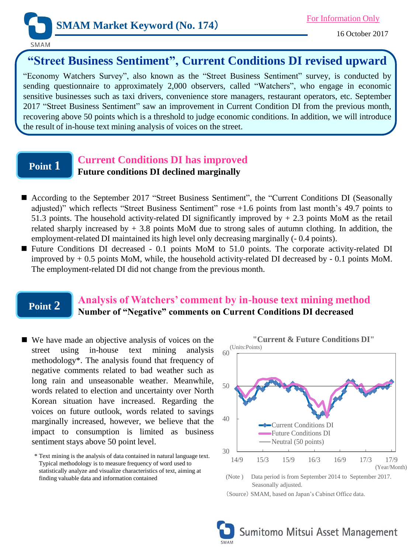

**SMAM** 

# **"Street Business Sentiment", Current Conditions DI revised upward**

"Economy Watchers Survey", also known as the "Street Business Sentiment" survey, is conducted by sending questionnaire to approximately 2,000 observers, called "Watchers", who engage in economic sensitive businesses such as taxi drivers, convenience store managers, restaurant operators, etc. September 2017 "Street Business Sentiment" saw an improvement in Current Condition DI from the previous month, recovering above 50 points which is a threshold to judge economic conditions. In addition, we will introduce the result of in-house text mining analysis of voices on the street.

## **Point 1**

## **Current Conditions DI has improved**

#### **Future conditions DI declined marginally**

- According to the September 2017 "Street Business Sentiment", the "Current Conditions DI (Seasonally adjusted)" which reflects "Street Business Sentiment" rose +1.6 points from last month's 49.7 points to 51.3 points. The household activity-related DI significantly improved by + 2.3 points MoM as the retail related sharply increased by  $+3.8$  points MoM due to strong sales of autumn clothing. In addition, the employment-related DI maintained its high level only decreasing marginally (- 0.4 points).
- Future Conditions DI decreased 0.1 points MoM to 51.0 points. The corporate activity-related DI improved by + 0.5 points MoM, while, the household activity-related DI decreased by - 0.1 points MoM. The employment-related DI did not change from the previous month.

## **Point 2**

#### **Analysis of Watchers' comment by in-house text mining method Number of "Negative" comments on Current Conditions DI decreased**

■ We have made an objective analysis of voices on the street using in-house text mining analysis methodology\*. The analysis found that frequency of negative comments related to bad weather such as long rain and unseasonable weather. Meanwhile, words related to election and uncertainty over North Korean situation have increased. Regarding the voices on future outlook, words related to savings marginally increased, however, we believe that the impact to consumption is limited as business sentiment stays above 50 point level.

<sup>\*</sup> Text mining is the analysis of data contained in natural language text. Typical methodology is to measure frequency of word used to statistically analyze and visualize characteristics of text, aiming at finding valuable data and information contained



(Source) SMAM, based on Japan's Cabinet Office data.